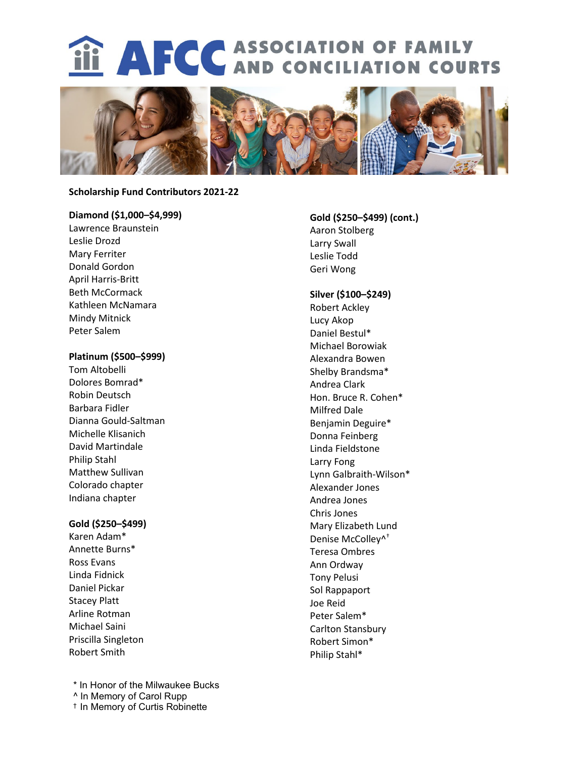# **iii AFCC** ASSOCIATION OF FAMILY



#### **Scholarship Fund Contributors 2021-22**

## **Diamond (\$1,000–\$4,999)**

Lawrence Braunstein Leslie Drozd Mary Ferriter Donald Gordon April Harris-Britt Beth McCormack Kathleen McNamara Mindy Mitnick Peter Salem

### **Platinum (\$500–\$999)**

Tom Altobelli Dolores Bomrad\* Robin Deutsch Barbara Fidler Dianna Gould-Saltman Michelle Klisanich David Martindale Philip Stahl Matthew Sullivan Colorado chapter Indiana chapter

## **Gold (\$250–\$499)**

Karen Adam\* Annette Burns\* Ross Evans Linda Fidnick Daniel Pickar Stacey Platt Arline Rotman Michael Saini Priscilla Singleton Robert Smith

\* In Honor of the Milwaukee Bucks ^ In Memory of Carol Rupp † In Memory of Curtis Robinette

# **Gold (\$250–\$499) (cont.)** Aaron Stolberg Larry Swall Leslie Todd Geri Wong

# **Silver (\$100–\$249)**

Robert Ackley Lucy Akop Daniel Bestul\* Michael Borowiak Alexandra Bowen Shelby Brandsma\* Andrea Clark Hon. Bruce R. Cohen\* Milfred Dale Benjamin Deguire\* Donna Feinberg Linda Fieldstone Larry Fong Lynn Galbraith-Wilson\* Alexander Jones Andrea Jones Chris Jones Mary Elizabeth Lund Denise McColley^† Teresa Ombres Ann Ordway Tony Pelusi Sol Rappaport Joe Reid Peter Salem\* Carlton Stansbury Robert Simon\* Philip Stahl\*